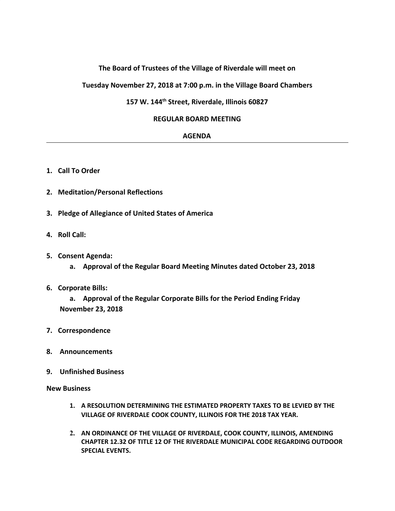## **The Board of Trustees of the Village of Riverdale will meet on**

**Tuesday November 27, 2018 at 7:00 p.m. in the Village Board Chambers**

# **157 W. 144th Street, Riverdale, Illinois 60827**

### **REGULAR BOARD MEETING**

#### **AGENDA**

- **1. Call To Order**
- **2. Meditation/Personal Reflections**
- **3. Pledge of Allegiance of United States of America**
- **4. Roll Call:**
- **5. Consent Agenda:**
	- **a. Approval of the Regular Board Meeting Minutes dated October 23, 2018**
- **6. Corporate Bills:**

**a. Approval of the Regular Corporate Bills for the Period Ending Friday November 23, 2018**

- **7. Correspondence**
- **8. Announcements**
- **9. Unfinished Business**

**New Business**

- **1. A RESOLUTION DETERMINING THE ESTIMATED PROPERTY TAXES TO BE LEVIED BY THE VILLAGE OF RIVERDALE COOK COUNTY, ILLINOIS FOR THE 2018 TAX YEAR.**
- **2. AN ORDINANCE OF THE VILLAGE OF RIVERDALE, COOK COUNTY, ILLINOIS, AMENDING CHAPTER 12.32 OF TITLE 12 OF THE RIVERDALE MUNICIPAL CODE REGARDING OUTDOOR SPECIAL EVENTS.**